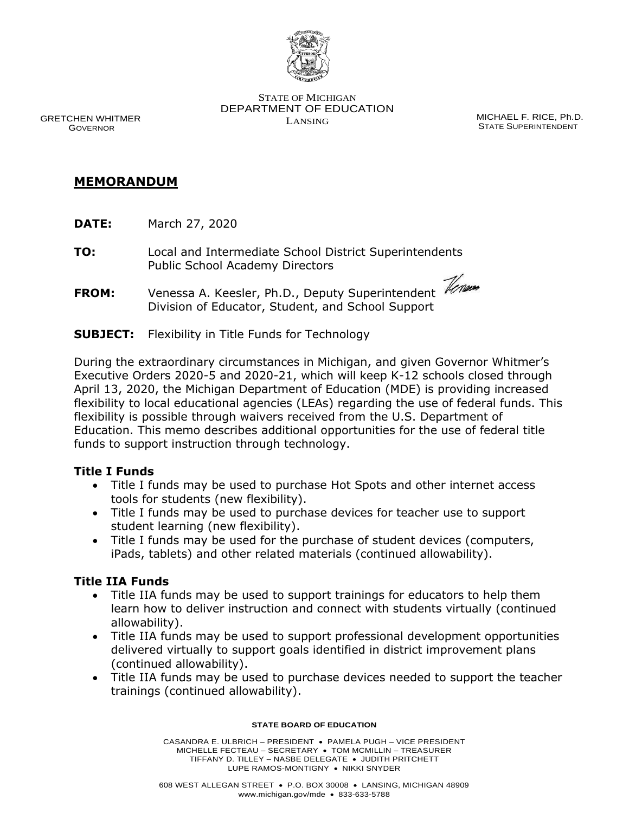

STATE OF MICHIGAN DEPARTMENT OF EDUCATION

LANSING MICHAEL F. RICE, Ph.D. STATE SUPERINTENDENT

GRETCHEN WHITMER GOVERNOR

# **MEMORANDUM**

- **DATE:** March 27, 2020
- **TO:** Local and Intermediate School District Superintendents Public School Academy Directors
- **FROM:** Venessa A. Keesler, Ph.D., Deputy Superintendent *Venum* Division of Educator, Student, and School Support
- **SUBJECT:** Flexibility in Title Funds for Technology

During the extraordinary circumstances in Michigan, and given Governor Whitmer's Executive Orders 2020-5 and 2020-21, which will keep K-12 schools closed through April 13, 2020, the Michigan Department of Education (MDE) is providing increased flexibility to local educational agencies (LEAs) regarding the use of federal funds. This flexibility is possible through waivers received from the U.S. Department of Education. This memo describes additional opportunities for the use of federal title funds to support instruction through technology.

### **Title I Funds**

- Title I funds may be used to purchase Hot Spots and other internet access tools for students (new flexibility).
- Title I funds may be used to purchase devices for teacher use to support student learning (new flexibility).
- Title I funds may be used for the purchase of student devices (computers, iPads, tablets) and other related materials (continued allowability).

# **Title IIA Funds**

- Title IIA funds may be used to support trainings for educators to help them learn how to deliver instruction and connect with students virtually (continued allowability).
- Title IIA funds may be used to support professional development opportunities delivered virtually to support goals identified in district improvement plans (continued allowability).
- Title IIA funds may be used to purchase devices needed to support the teacher trainings (continued allowability).

#### **STATE BOARD OF EDUCATION**

CASANDRA E. ULBRICH – PRESIDENT • PAMELA PUGH – VICE PRESIDENT MICHELLE FECTEAU – SECRETARY • TOM MCMILLIN – TREASURER TIFFANY D. TILLEY – NASBE DELEGATE • JUDITH PRITCHETT LUPE RAMOS-MONTIGNY • NIKKI SNYDER